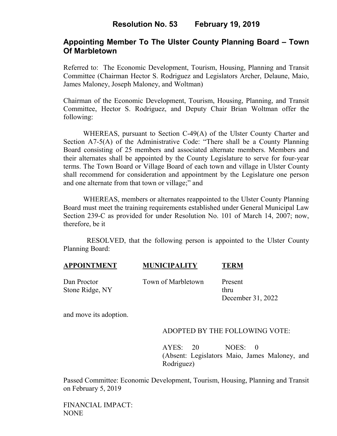# **Resolution No. 53 February 19, 2019**

## **Appointing Member To The Ulster County Planning Board – Town Of Marbletown**

Referred to: The Economic Development, Tourism, Housing, Planning and Transit Committee (Chairman Hector S. Rodriguez and Legislators Archer, Delaune, Maio, James Maloney, Joseph Maloney, and Woltman)

Chairman of the Economic Development, Tourism, Housing, Planning, and Transit Committee, Hector S. Rodriguez, and Deputy Chair Brian Woltman offer the following:

WHEREAS, pursuant to Section C-49(A) of the Ulster County Charter and Section A7-5(A) of the Administrative Code: "There shall be a County Planning Board consisting of 25 members and associated alternate members. Members and their alternates shall be appointed by the County Legislature to serve for four-year terms. The Town Board or Village Board of each town and village in Ulster County shall recommend for consideration and appointment by the Legislature one person and one alternate from that town or village;" and

WHEREAS, members or alternates reappointed to the Ulster County Planning Board must meet the training requirements established under General Municipal Law Section 239-C as provided for under Resolution No. 101 of March 14, 2007; now, therefore, be it

 RESOLVED, that the following person is appointed to the Ulster County Planning Board:

| <b>APPOINTMENT</b> | <b>MUNICIPALITY</b> | <b>TERM</b> |
|--------------------|---------------------|-------------|
|--------------------|---------------------|-------------|

Dan Proctor Town of Marbletown Present

Stone Ridge, NY thru December 31, 2022

and move its adoption.

### ADOPTED BY THE FOLLOWING VOTE:

AYES: 20 NOES: 0 (Absent: Legislators Maio, James Maloney, and Rodriguez)

Passed Committee: Economic Development, Tourism, Housing, Planning and Transit on February 5, 2019

FINANCIAL IMPACT: NONE